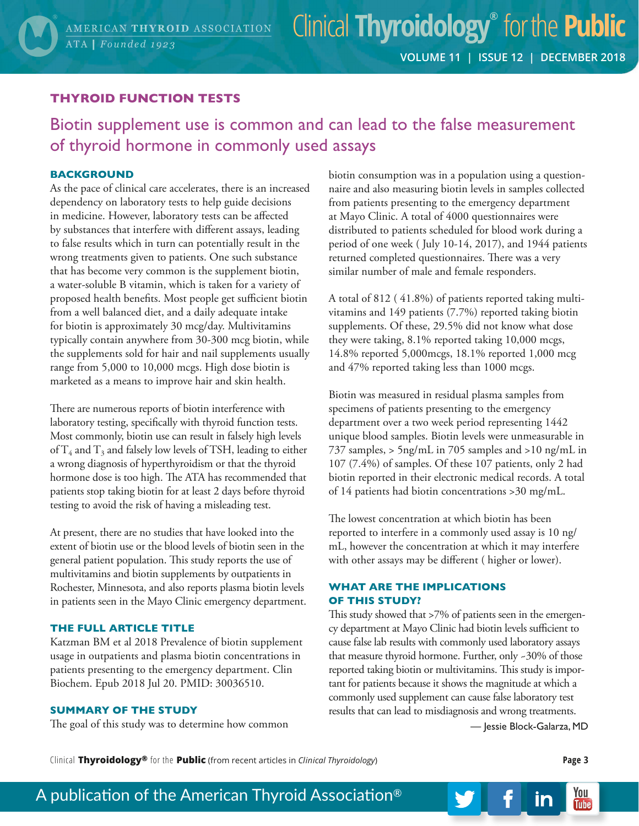### **THYROID FUNCTION TESTS**

## Biotin supplement use is common and can lead to the false measurement of thyroid hormone in commonly used assays

#### **BACKGROUND**

As the pace of clinical care accelerates, there is an increased dependency on laboratory tests to help guide decisions in medicine. However, laboratory tests can be affected by substances that interfere with different assays, leading to false results which in turn can potentially result in the wrong treatments given to patients. One such substance that has become very common is the supplement biotin, a water-soluble B vitamin, which is taken for a variety of proposed health benefits. Most people get sufficient biotin from a well balanced diet, and a daily adequate intake for biotin is approximately 30 mcg/day. Multivitamins typically contain anywhere from 30-300 mcg biotin, while the supplements sold for hair and nail supplements usually range from 5,000 to 10,000 mcgs. High dose biotin is marketed as a means to improve hair and skin health.

There are numerous reports of biotin interference with laboratory testing, specifically with thyroid function tests. Most commonly, biotin use can result in falsely high levels of  $T_4$  and  $T_3$  and falsely low levels of TSH, leading to either a wrong diagnosis of hyperthyroidism or that the thyroid hormone dose is too high. The ATA has recommended that patients stop taking biotin for at least 2 days before thyroid testing to avoid the risk of having a misleading test.

At present, there are no studies that have looked into the extent of biotin use or the blood levels of biotin seen in the general patient population. This study reports the use of multivitamins and biotin supplements by outpatients in Rochester, Minnesota, and also reports plasma biotin levels in patients seen in the Mayo Clinic emergency department.

#### **THE FULL ARTICLE TITLE**

Katzman BM et al 2018 Prevalence of biotin supplement usage in outpatients and plasma biotin concentrations in patients presenting to the emergency department. Clin Biochem. Epub 2018 Jul 20. PMID: 30036510.

#### **SUMMARY OF THE STUDY**

The goal of this study was to determine how common

biotin consumption was in a population using a questionnaire and also measuring biotin levels in samples collected from patients presenting to the emergency department at Mayo Clinic. A total of 4000 questionnaires were distributed to patients scheduled for blood work during a period of one week ( July 10-14, 2017), and 1944 patients returned completed questionnaires. There was a very similar number of male and female responders.

A total of 812 ( 41.8%) of patients reported taking multivitamins and 149 patients (7.7%) reported taking biotin supplements. Of these, 29.5% did not know what dose they were taking, 8.1% reported taking 10,000 mcgs, 14.8% reported 5,000mcgs, 18.1% reported 1,000 mcg and 47% reported taking less than 1000 mcgs.

Biotin was measured in residual plasma samples from specimens of patients presenting to the emergency department over a two week period representing 1442 unique blood samples. Biotin levels were unmeasurable in 737 samples, > 5ng/mL in 705 samples and >10 ng/mL in 107 (7.4%) of samples. Of these 107 patients, only 2 had biotin reported in their electronic medical records. A total of 14 patients had biotin concentrations >30 mg/mL.

The lowest concentration at which biotin has been reported to interfere in a commonly used assay is 10 ng/ mL, however the concentration at which it may interfere with other assays may be different ( higher or lower).

#### **WHAT ARE THE IMPLICATIONS OF THIS STUDY?**

This study showed that >7% of patients seen in the emergency department at Mayo Clinic had biotin levels sufficient to cause false lab results with commonly used laboratory assays that measure thyroid hormone. Further, only ~30% of those reported taking biotin or multivitamins. This study is important for patients because it shows the magnitude at which a commonly used supplement can cause false laboratory test results that can lead to misdiagnosis and wrong treatments.

— Jessie Block-Galarza, MD

in

Clinical **Thyroidology®** for the **Public** (from recent articles in *Clinical Thyroidology*) **Page 3**

You

**Tube**